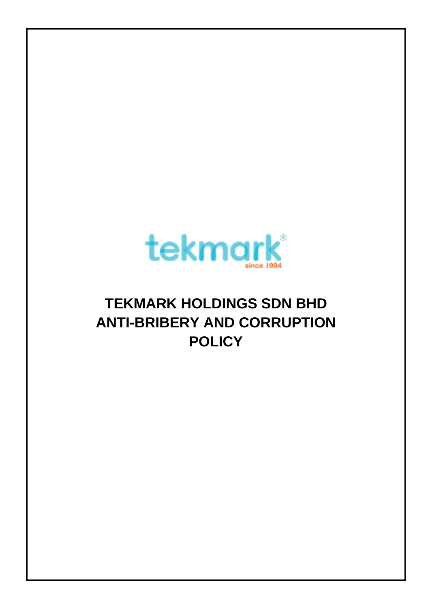

# **TEKMARK HOLDINGS SDN BHD ANTI-BRIBERY AND CORRUPTION POLICY**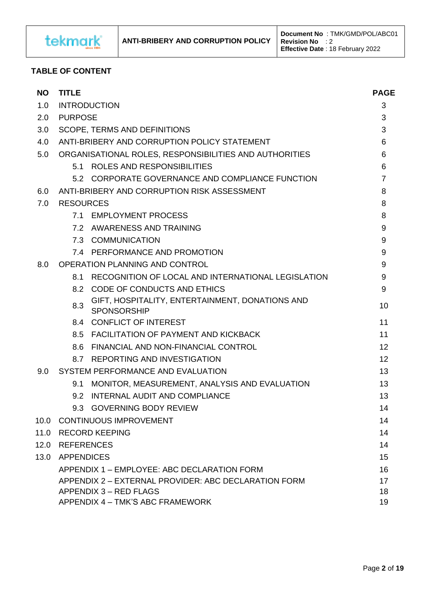

## **TABLE OF CONTENT**

| NO.  | <b>TITLE</b>                                           |                                                                       |                |  |
|------|--------------------------------------------------------|-----------------------------------------------------------------------|----------------|--|
| 1.0  | <b>INTRODUCTION</b>                                    |                                                                       |                |  |
| 2.0  | <b>PURPOSE</b>                                         |                                                                       |                |  |
| 3.0  | <b>SCOPE, TERMS AND DEFINITIONS</b>                    |                                                                       |                |  |
| 4.0  | ANTI-BRIBERY AND CORRUPTION POLICY STATEMENT           |                                                                       |                |  |
| 5.0  | ORGANISATIONAL ROLES, RESPONSIBILITIES AND AUTHORITIES |                                                                       |                |  |
|      |                                                        | 5.1 ROLES AND RESPONSIBILITIES                                        | 6              |  |
|      |                                                        | 5.2 CORPORATE GOVERNANCE AND COMPLIANCE FUNCTION                      | $\overline{7}$ |  |
| 6.0  |                                                        | ANTI-BRIBERY AND CORRUPTION RISK ASSESSMENT                           | 8              |  |
| 7.0  | <b>RESOURCES</b>                                       |                                                                       |                |  |
|      |                                                        | 7.1 EMPLOYMENT PROCESS                                                | 8              |  |
|      |                                                        | 7.2 AWARENESS AND TRAINING                                            | 9              |  |
|      |                                                        | 7.3 COMMUNICATION                                                     | 9              |  |
|      |                                                        | 7.4 PERFORMANCE AND PROMOTION                                         | 9              |  |
| 8.0  |                                                        | OPERATION PLANNING AND CONTROL                                        | 9              |  |
|      | 8.1                                                    | RECOGNITION OF LOCAL AND INTERNATIONAL LEGISLATION                    | 9              |  |
|      |                                                        | 8.2 CODE OF CONDUCTS AND ETHICS                                       | 9              |  |
|      | 8.3                                                    | GIFT, HOSPITALITY, ENTERTAINMENT, DONATIONS AND<br><b>SPONSORSHIP</b> | 10             |  |
|      |                                                        | 8.4 CONFLICT OF INTEREST                                              | 11             |  |
|      |                                                        | 8.5 FACILITATION OF PAYMENT AND KICKBACK                              | 11             |  |
|      |                                                        | 8.6 FINANCIAL AND NON-FINANCIAL CONTROL                               | 12             |  |
|      |                                                        | 8.7 REPORTING AND INVESTIGATION                                       | 12             |  |
| 9.0  | SYSTEM PERFORMANCE AND EVALUATION                      |                                                                       | 13             |  |
|      | 9.1                                                    | MONITOR, MEASUREMENT, ANALYSIS AND EVALUATION                         | 13             |  |
|      | 9.2                                                    | INTERNAL AUDIT AND COMPLIANCE                                         | 13             |  |
|      |                                                        | 9.3 GOVERNING BODY REVIEW                                             | 14             |  |
| 10.0 |                                                        | <b>CONTINUOUS IMPROVEMENT</b>                                         | 14             |  |
|      |                                                        | 11.0 RECORD KEEPING                                                   | 14             |  |
|      | 12.0 REFERENCES                                        |                                                                       | 14             |  |
|      | 13.0 APPENDICES                                        |                                                                       |                |  |
|      | APPENDIX 1 - EMPLOYEE: ABC DECLARATION FORM            |                                                                       |                |  |
|      | APPENDIX 2 - EXTERNAL PROVIDER: ABC DECLARATION FORM   |                                                                       |                |  |
|      | APPENDIX 3 - RED FLAGS                                 |                                                                       |                |  |
|      | APPENDIX 4 - TMK'S ABC FRAMEWORK                       |                                                                       |                |  |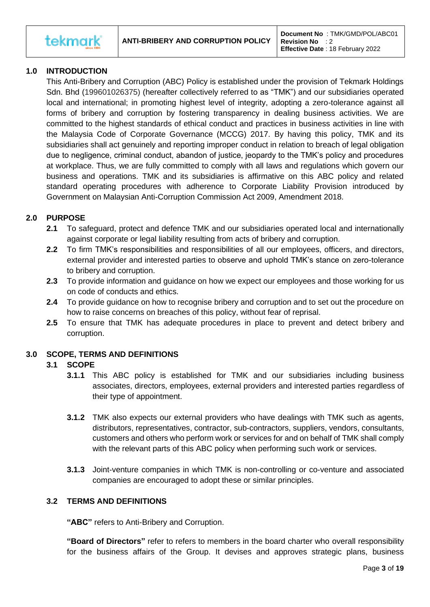**tekmark** 

# **1.0 INTRODUCTION**

This Anti-Bribery and Corruption (ABC) Policy is established under the provision of Tekmark Holdings Sdn. Bhd (199601026375) (hereafter collectively referred to as "TMK") and our subsidiaries operated local and international; in promoting highest level of integrity, adopting a zero-tolerance against all forms of bribery and corruption by fostering transparency in dealing business activities. We are committed to the highest standards of ethical conduct and practices in business activities in line with the Malaysia Code of Corporate Governance (MCCG) 2017. By having this policy, TMK and its subsidiaries shall act genuinely and reporting improper conduct in relation to breach of legal obligation due to negligence, criminal conduct, abandon of justice, jeopardy to the TMK's policy and procedures at workplace. Thus, we are fully committed to comply with all laws and regulations which govern our business and operations. TMK and its subsidiaries is affirmative on this ABC policy and related standard operating procedures with adherence to Corporate Liability Provision introduced by Government on Malaysian Anti-Corruption Commission Act 2009, Amendment 2018.

## **2.0 PURPOSE**

- **2.1** To safeguard, protect and defence TMK and our subsidiaries operated local and internationally against corporate or legal liability resulting from acts of bribery and corruption.
- **2.2** To firm TMK's responsibilities and responsibilities of all our employees, officers, and directors, external provider and interested parties to observe and uphold TMK's stance on zero-tolerance to bribery and corruption.
- **2.3** To provide information and guidance on how we expect our employees and those working for us on code of conducts and ethics.
- **2.4** To provide guidance on how to recognise bribery and corruption and to set out the procedure on how to raise concerns on breaches of this policy, without fear of reprisal.
- **2.5** To ensure that TMK has adequate procedures in place to prevent and detect bribery and corruption.

## **3.0 SCOPE, TERMS AND DEFINITIONS**

## **3.1 SCOPE**

- **3.1.1** This ABC policy is established for TMK and our subsidiaries including business associates, directors, employees, external providers and interested parties regardless of their type of appointment.
- **3.1.2** TMK also expects our external providers who have dealings with TMK such as agents, distributors, representatives, contractor, sub-contractors, suppliers, vendors, consultants, customers and others who perform work or services for and on behalf of TMK shall comply with the relevant parts of this ABC policy when performing such work or services.
- **3.1.3** Joint-venture companies in which TMK is non-controlling or co-venture and associated companies are encouraged to adopt these or similar principles.

## **3.2 TERMS AND DEFINITIONS**

**"ABC"** refers to Anti-Bribery and Corruption.

**"Board of Directors"** refer to refers to members in the board charter who overall responsibility for the business affairs of the Group. It devises and approves strategic plans, business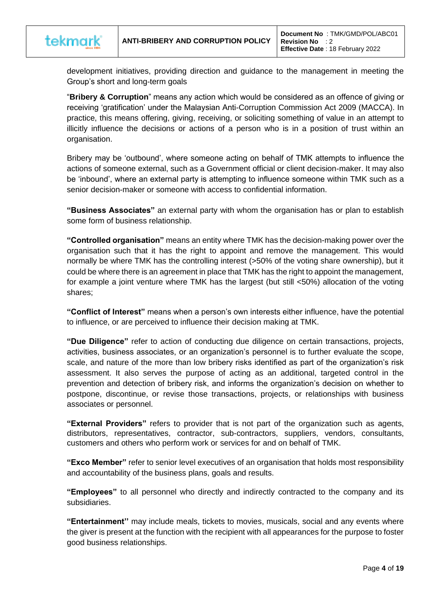

development initiatives, providing direction and guidance to the management in meeting the Group's short and long-term goals

"**Bribery & Corruption**" means any action which would be considered as an offence of giving or receiving 'gratification' under the Malaysian Anti-Corruption Commission Act 2009 (MACCA). In practice, this means offering, giving, receiving, or soliciting something of value in an attempt to illicitly influence the decisions or actions of a person who is in a position of trust within an organisation.

Bribery may be 'outbound', where someone acting on behalf of TMK attempts to influence the actions of someone external, such as a Government official or client decision-maker. It may also be 'inbound', where an external party is attempting to influence someone within TMK such as a senior decision-maker or someone with access to confidential information.

**"Business Associates"** an external party with whom the organisation has or plan to establish some form of business relationship.

**"Controlled organisation"** means an entity where TMK has the decision-making power over the organisation such that it has the right to appoint and remove the management. This would normally be where TMK has the controlling interest (>50% of the voting share ownership), but it could be where there is an agreement in place that TMK has the right to appoint the management, for example a joint venture where TMK has the largest (but still <50%) allocation of the voting shares;

**"Conflict of Interest"** means when a person's own interests either influence, have the potential to influence, or are perceived to influence their decision making at TMK.

**"Due Diligence"** refer to action of conducting due diligence on certain transactions, projects, activities, business associates, or an organization's personnel is to further evaluate the scope, scale, and nature of the more than low bribery risks identified as part of the organization's risk assessment. It also serves the purpose of acting as an additional, targeted control in the prevention and detection of bribery risk, and informs the organization's decision on whether to postpone, discontinue, or revise those transactions, projects, or relationships with business associates or personnel.

**"External Providers"** refers to provider that is not part of the organization such as agents, distributors, representatives, contractor, sub-contractors, suppliers, vendors, consultants, customers and others who perform work or services for and on behalf of TMK.

**"Exco Member"** refer to senior level executives of an organisation that holds most responsibility and accountability of the business plans, goals and results.

**"Employees"** to all personnel who directly and indirectly contracted to the company and its subsidiaries.

**"Entertainment''** may include meals, tickets to movies, musicals, social and any events where the giver is present at the function with the recipient with all appearances for the purpose to foster good business relationships.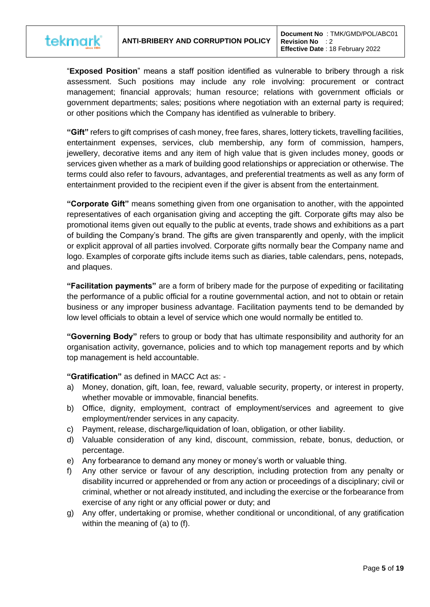

"**Exposed Position**" means a staff position identified as vulnerable to bribery through a risk assessment. Such positions may include any role involving: procurement or contract management; financial approvals; human resource; relations with government officials or government departments; sales; positions where negotiation with an external party is required; or other positions which the Company has identified as vulnerable to bribery.

**"Gift"** refers to gift comprises of cash money, free fares, shares, lottery tickets, travelling facilities, entertainment expenses, services, club membership, any form of commission, hampers, jewellery, decorative items and any item of high value that is given includes money, goods or services given whether as a mark of building good relationships or appreciation or otherwise. The terms could also refer to favours, advantages, and preferential treatments as well as any form of entertainment provided to the recipient even if the giver is absent from the entertainment.

**"Corporate Gift"** means something given from one organisation to another, with the appointed representatives of each organisation giving and accepting the gift. Corporate gifts may also be promotional items given out equally to the public at events, trade shows and exhibitions as a part of building the Company's brand. The gifts are given transparently and openly, with the implicit or explicit approval of all parties involved. Corporate gifts normally bear the Company name and logo. Examples of corporate gifts include items such as diaries, table calendars, pens, notepads, and plaques.

**"Facilitation payments"** are a form of bribery made for the purpose of expediting or facilitating the performance of a public official for a routine governmental action, and not to obtain or retain business or any improper business advantage. Facilitation payments tend to be demanded by low level officials to obtain a level of service which one would normally be entitled to.

**"Governing Body"** refers to group or body that has ultimate responsibility and authority for an organisation activity, governance, policies and to which top management reports and by which top management is held accountable.

**"Gratification"** as defined in MACC Act as: -

- a) Money, donation, gift, loan, fee, reward, valuable security, property, or interest in property, whether movable or immovable, financial benefits.
- b) Office, dignity, employment, contract of employment/services and agreement to give employment/render services in any capacity.
- c) Payment, release, discharge/liquidation of loan, obligation, or other liability.
- d) Valuable consideration of any kind, discount, commission, rebate, bonus, deduction, or percentage.
- e) Any forbearance to demand any money or money's worth or valuable thing.
- f) Any other service or favour of any description, including protection from any penalty or disability incurred or apprehended or from any action or proceedings of a disciplinary; civil or criminal, whether or not already instituted, and including the exercise or the forbearance from exercise of any right or any official power or duty; and
- g) Any offer, undertaking or promise, whether conditional or unconditional, of any gratification within the meaning of (a) to (f).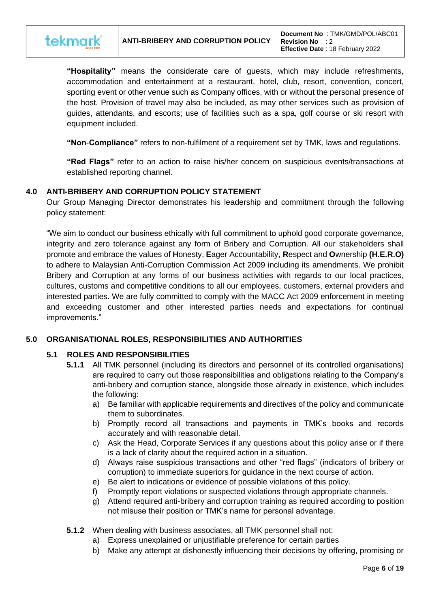

**"Hospitality"** means the considerate care of guests, which may include refreshments, accommodation and entertainment at a restaurant, hotel, club, resort, convention, concert, sporting event or other venue such as Company offices, with or without the personal presence of the host. Provision of travel may also be included, as may other services such as provision of guides, attendants, and escorts; use of facilities such as a spa, golf course or ski resort with equipment included.

**"Non**-**Compliance"** refers to non-fulfilment of a requirement set by TMK, laws and regulations.

**"Red Flags"** refer to an action to raise his/her concern on suspicious events/transactions at established reporting channel.

## **4.0 ANTI-BRIBERY AND CORRUPTION POLICY STATEMENT**

Our Group Managing Director demonstrates his leadership and commitment through the following policy statement:

"We aim to conduct our business ethically with full commitment to uphold good corporate governance, integrity and zero tolerance against any form of Bribery and Corruption. All our stakeholders shall promote and embrace the values of **H**onesty, **E**ager Accountability, **R**espect and **O**wnership **(H.E.R.O)** to adhere to Malaysian Anti-Corruption Commission Act 2009 including its amendments. We prohibit Bribery and Corruption at any forms of our business activities with regards to our local practices, cultures, customs and competitive conditions to all our employees, customers, external providers and interested parties. We are fully committed to comply with the MACC Act 2009 enforcement in meeting and exceeding customer and other interested parties needs and expectations for continual improvements."

# **5.0 ORGANISATIONAL ROLES, RESPONSIBILITIES AND AUTHORITIES**

# **5.1 ROLES AND RESPONSIBILITIES**

- **5.1.1** All TMK personnel (including its directors and personnel of its controlled organisations) are required to carry out those responsibilities and obligations relating to the Company's anti-bribery and corruption stance, alongside those already in existence, which includes the following:
	- a) Be familiar with applicable requirements and directives of the policy and communicate them to subordinates.
	- b) Promptly record all transactions and payments in TMK's books and records accurately and with reasonable detail.
	- c) Ask the Head, Corporate Services if any questions about this policy arise or if there is a lack of clarity about the required action in a situation.
	- d) Always raise suspicious transactions and other "red flags" (indicators of bribery or corruption) to immediate superiors for guidance in the next course of action.
	- e) Be alert to indications or evidence of possible violations of this policy.
	- f) Promptly report violations or suspected violations through appropriate channels.
	- g) Attend required anti-bribery and corruption training as required according to position not misuse their position or TMK's name for personal advantage.
- **5.1.2** When dealing with business associates, all TMK personnel shall not:
	- a) Express unexplained or unjustifiable preference for certain parties
	- b) Make any attempt at dishonestly influencing their decisions by offering, promising or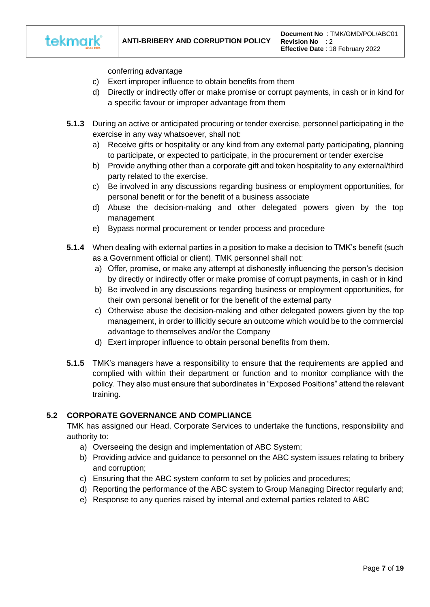

conferring advantage

- c) Exert improper influence to obtain benefits from them
- d) Directly or indirectly offer or make promise or corrupt payments, in cash or in kind for a specific favour or improper advantage from them
- **5.1.3** During an active or anticipated procuring or tender exercise, personnel participating in the exercise in any way whatsoever, shall not:
	- a) Receive gifts or hospitality or any kind from any external party participating, planning to participate, or expected to participate, in the procurement or tender exercise
	- b) Provide anything other than a corporate gift and token hospitality to any external/third party related to the exercise.
	- c) Be involved in any discussions regarding business or employment opportunities, for personal benefit or for the benefit of a business associate
	- d) Abuse the decision-making and other delegated powers given by the top management
	- e) Bypass normal procurement or tender process and procedure
- **5.1.4** When dealing with external parties in a position to make a decision to TMK's benefit (such as a Government official or client). TMK personnel shall not:
	- a) Offer, promise, or make any attempt at dishonestly influencing the person's decision by directly or indirectly offer or make promise of corrupt payments, in cash or in kind
	- b) Be involved in any discussions regarding business or employment opportunities, for their own personal benefit or for the benefit of the external party
	- c) Otherwise abuse the decision-making and other delegated powers given by the top management, in order to illicitly secure an outcome which would be to the commercial advantage to themselves and/or the Company
	- d) Exert improper influence to obtain personal benefits from them.
- **5.1.5** TMK's managers have a responsibility to ensure that the requirements are applied and complied with within their department or function and to monitor compliance with the policy. They also must ensure that subordinates in "Exposed Positions" attend the relevant training.

## **5.2 CORPORATE GOVERNANCE AND COMPLIANCE**

TMK has assigned our Head, Corporate Services to undertake the functions, responsibility and authority to:

- a) Overseeing the design and implementation of ABC System;
- b) Providing advice and guidance to personnel on the ABC system issues relating to bribery and corruption;
- c) Ensuring that the ABC system conform to set by policies and procedures;
- d) Reporting the performance of the ABC system to Group Managing Director regularly and;
- e) Response to any queries raised by internal and external parties related to ABC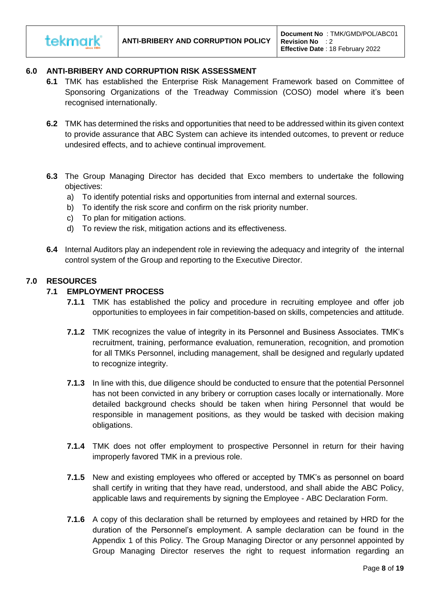# **6.0 ANTI-BRIBERY AND CORRUPTION RISK ASSESSMENT**

- **6.1** TMK has established the Enterprise Risk Management Framework based on Committee of Sponsoring Organizations of the Treadway Commission (COSO) model where it's been recognised internationally.
- **6.2** TMK has determined the risks and opportunities that need to be addressed within its given context to provide assurance that ABC System can achieve its intended outcomes, to prevent or reduce undesired effects, and to achieve continual improvement.
- **6.3** The Group Managing Director has decided that Exco members to undertake the following objectives:
	- a) To identify potential risks and opportunities from internal and external sources.
	- b) To identify the risk score and confirm on the risk priority number.
	- c) To plan for mitigation actions.
	- d) To review the risk, mitigation actions and its effectiveness.
- **6.4** Internal Auditors play an independent role in reviewing the adequacy and integrity of the internal control system of the Group and reporting to the Executive Director.

#### **7.0 RESOURCES**

tekmark

#### **7.1 EMPLOYMENT PROCESS**

- **7.1.1** TMK has established the policy and procedure in recruiting employee and offer job opportunities to employees in fair competition-based on skills, competencies and attitude.
- **7.1.2** TMK recognizes the value of integrity in its Personnel and Business Associates. TMK's recruitment, training, performance evaluation, remuneration, recognition, and promotion for all TMKs Personnel, including management, shall be designed and regularly updated to recognize integrity.
- **7.1.3** In line with this, due diligence should be conducted to ensure that the potential Personnel has not been convicted in any bribery or corruption cases locally or internationally. More detailed background checks should be taken when hiring Personnel that would be responsible in management positions, as they would be tasked with decision making obligations.
- **7.1.4** TMK does not offer employment to prospective Personnel in return for their having improperly favored TMK in a previous role.
- **7.1.5** New and existing employees who offered or accepted by TMK's as personnel on board shall certify in writing that they have read, understood, and shall abide the ABC Policy, applicable laws and requirements by signing the Employee - ABC Declaration Form.
- **7.1.6** A copy of this declaration shall be returned by employees and retained by HRD for the duration of the Personnel's employment. A sample declaration can be found in the Appendix 1 of this Policy. The Group Managing Director or any personnel appointed by Group Managing Director reserves the right to request information regarding an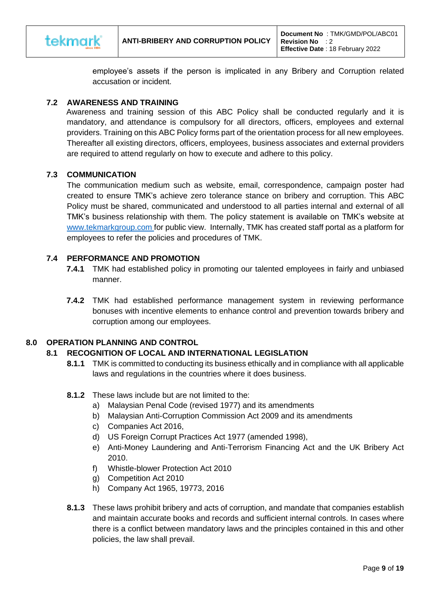

employee's assets if the person is implicated in any Bribery and Corruption related accusation or incident.

## **7.2 AWARENESS AND TRAINING**

 Awareness and training session of this ABC Policy shall be conducted regularly and it is mandatory, and attendance is compulsory for all directors, officers, employees and external providers. Training on this ABC Policy forms part of the orientation process for all new employees. Thereafter all existing directors, officers, employees, business associates and external providers are required to attend regularly on how to execute and adhere to this policy.

## **7.3 COMMUNICATION**

The communication medium such as website, email, correspondence, campaign poster had created to ensure TMK's achieve zero tolerance stance on bribery and corruption. This ABC Policy must be shared, communicated and understood to all parties internal and external of all TMK's business relationship with them. The policy statement is available on TMK's website at [www.tekmarkgroup.com](http://www.tekmarkgroup.com/) for public view. Internally, TMK has created staff portal as a platform for employees to refer the policies and procedures of TMK.

# **7.4 PERFORMANCE AND PROMOTION**

- **7.4.1** TMK had established policy in promoting our talented employees in fairly and unbiased manner.
- **7.4.2** TMK had established performance management system in reviewing performance bonuses with incentive elements to enhance control and prevention towards bribery and corruption among our employees.

## **8.0 OPERATION PLANNING AND CONTROL**

## **8.1 RECOGNITION OF LOCAL AND INTERNATIONAL LEGISLATION**

- **8.1.1** TMK is committed to conducting its business ethically and in compliance with all applicable laws and regulations in the countries where it does business.
- **8.1.2** These laws include but are not limited to the:
	- a) Malaysian Penal Code (revised 1977) and its amendments
	- b) Malaysian Anti-Corruption Commission Act 2009 and its amendments
	- c) Companies Act 2016,
	- d) US Foreign Corrupt Practices Act 1977 (amended 1998),
	- e) Anti-Money Laundering and Anti-Terrorism Financing Act and the UK Bribery Act 2010.
	- f) Whistle-blower Protection Act 2010
	- g) Competition Act 2010
	- h) Company Act 1965, 19773, 2016
- **8.1.3** These laws prohibit bribery and acts of corruption, and mandate that companies establish and maintain accurate books and records and sufficient internal controls. In cases where there is a conflict between mandatory laws and the principles contained in this and other policies, the law shall prevail.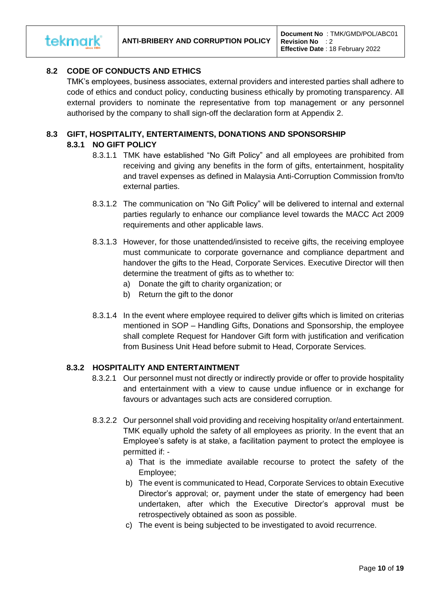

# **8.2 CODE OF CONDUCTS AND ETHICS**

TMK's employees, business associates, external providers and interested parties shall adhere to code of ethics and conduct policy, conducting business ethically by promoting transparency. All external providers to nominate the representative from top management or any personnel authorised by the company to shall sign-off the declaration form at Appendix 2.

## **8.3 GIFT, HOSPITALITY, ENTERTAIMENTS, DONATIONS AND SPONSORSHIP**

## **8.3.1 NO GIFT POLICY**

- 8.3.1.1 TMK have established "No Gift Policy" and all employees are prohibited from receiving and giving any benefits in the form of gifts, entertainment, hospitality and travel expenses as defined in Malaysia Anti-Corruption Commission from/to external parties.
- 8.3.1.2 The communication on "No Gift Policy" will be delivered to internal and external parties regularly to enhance our compliance level towards the MACC Act 2009 requirements and other applicable laws.
- 8.3.1.3 However, for those unattended/insisted to receive gifts, the receiving employee must communicate to corporate governance and compliance department and handover the gifts to the Head, Corporate Services. Executive Director will then determine the treatment of gifts as to whether to:
	- a) Donate the gift to charity organization; or
	- b) Return the gift to the donor
- 8.3.1.4 In the event where employee required to deliver gifts which is limited on criterias mentioned in SOP – Handling Gifts, Donations and Sponsorship, the employee shall complete Request for Handover Gift form with justification and verification from Business Unit Head before submit to Head, Corporate Services.

# **8.3.2 HOSPITALITY AND ENTERTAINTMENT**

- 8.3.2.1 Our personnel must not directly or indirectly provide or offer to provide hospitality and entertainment with a view to cause undue influence or in exchange for favours or advantages such acts are considered corruption.
- 8.3.2.2 Our personnel shall void providing and receiving hospitality or/and entertainment. TMK equally uphold the safety of all employees as priority. In the event that an Employee's safety is at stake, a facilitation payment to protect the employee is permitted if:
	- a) That is the immediate available recourse to protect the safety of the Employee;
	- b) The event is communicated to Head, Corporate Services to obtain Executive Director's approval; or, payment under the state of emergency had been undertaken, after which the Executive Director's approval must be retrospectively obtained as soon as possible.
	- c) The event is being subjected to be investigated to avoid recurrence.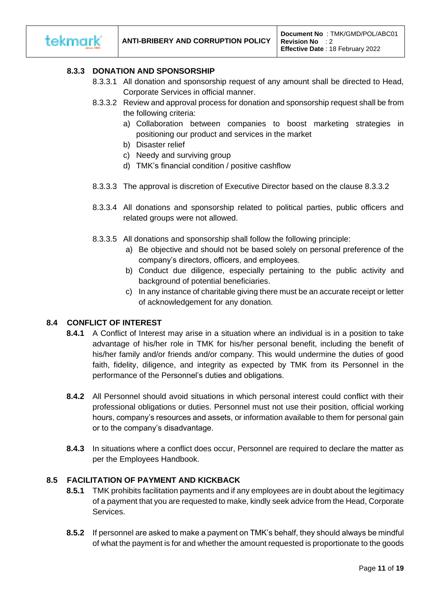

# **8.3.3 DONATION AND SPONSORSHIP**

- 8.3.3.1 All donation and sponsorship request of any amount shall be directed to Head, Corporate Services in official manner.
- 8.3.3.2 Review and approval process for donation and sponsorship request shall be from the following criteria:
	- a) Collaboration between companies to boost marketing strategies in positioning our product and services in the market
	- b) Disaster relief
	- c) Needy and surviving group
	- d) TMK's financial condition / positive cashflow
- 8.3.3.3 The approval is discretion of Executive Director based on the clause 8.3.3.2
- 8.3.3.4 All donations and sponsorship related to political parties, public officers and related groups were not allowed.
- 8.3.3.5 All donations and sponsorship shall follow the following principle:
	- a) Be objective and should not be based solely on personal preference of the company's directors, officers, and employees.
	- b) Conduct due diligence, especially pertaining to the public activity and background of potential beneficiaries.
	- c) In any instance of charitable giving there must be an accurate receipt or letter of acknowledgement for any donation.

## **8.4 CONFLICT OF INTEREST**

- **8.4.1** A Conflict of Interest may arise in a situation where an individual is in a position to take advantage of his/her role in TMK for his/her personal benefit, including the benefit of his/her family and/or friends and/or company. This would undermine the duties of good faith, fidelity, diligence, and integrity as expected by TMK from its Personnel in the performance of the Personnel's duties and obligations.
- **8.4.2** All Personnel should avoid situations in which personal interest could conflict with their professional obligations or duties. Personnel must not use their position, official working hours, company's resources and assets, or information available to them for personal gain or to the company's disadvantage.
- **8.4.3** In situations where a conflict does occur, Personnel are required to declare the matter as per the Employees Handbook.

## **8.5 FACILITATION OF PAYMENT AND KICKBACK**

- **8.5.1** TMK prohibits facilitation payments and if any employees are in doubt about the legitimacy of a payment that you are requested to make, kindly seek advice from the Head, Corporate Services.
- **8.5.2** If personnel are asked to make a payment on TMK's behalf, they should always be mindful of what the payment is for and whether the amount requested is proportionate to the goods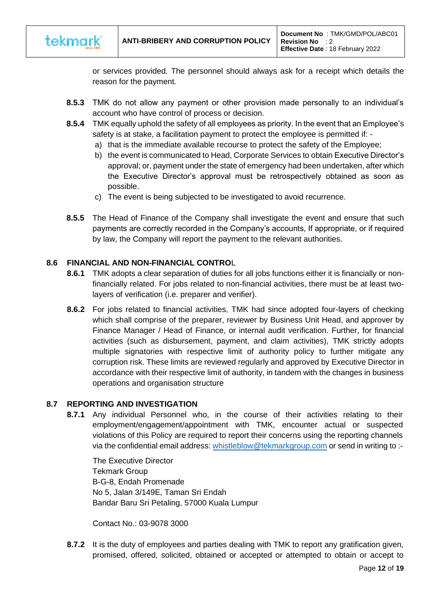

or services provided. The personnel should always ask for a receipt which details the reason for the payment.

- **8.5.3** TMK do not allow any payment or other provision made personally to an individual's account who have control of process or decision.
- **8.5.4** TMK equally uphold the safety of all employees as priority. In the event that an Employee's safety is at stake, a facilitation payment to protect the employee is permitted if:
	- a) that is the immediate available recourse to protect the safety of the Employee;
	- b) the event is communicated to Head, Corporate Services to obtain Executive Director's approval; or, payment under the state of emergency had been undertaken, after which the Executive Director's approval must be retrospectively obtained as soon as possible.
	- c) The event is being subjected to be investigated to avoid recurrence.
- **8.5.5** The Head of Finance of the Company shall investigate the event and ensure that such payments are correctly recorded in the Company's accounts, If appropriate, or if required by law, the Company will report the payment to the relevant authorities.

## **8.6 FINANCIAL AND NON-FINANCIAL CONTRO**L

- **8.6.1** TMK adopts a clear separation of duties for all jobs functions either it is financially or nonfinancially related. For jobs related to non-financial activities, there must be at least twolayers of verification (i.e. preparer and verifier).
- **8.6.2** For jobs related to financial activities, TMK had since adopted four-layers of checking which shall comprise of the preparer, reviewer by Business Unit Head, and approver by Finance Manager / Head of Finance, or internal audit verification. Further, for financial activities (such as disbursement, payment, and claim activities), TMK strictly adopts multiple signatories with respective limit of authority policy to further mitigate any corruption risk. These limits are reviewed regularly and approved by Executive Director in accordance with their respective limit of authority, in tandem with the changes in business operations and organisation structure

## **8.7 REPORTING AND INVESTIGATION**

**8.7.1** Any individual Personnel who, in the course of their activities relating to their employment/engagement/appointment with TMK, encounter actual or suspected violations of this Policy are required to report their concerns using the reporting channels via the confidential email address: [whistleblow@tekmarkgroup.com](mailto:whistleblow@tekmarkgroup.com) or send in writing to :-

 The Executive Director Tekmark Group B-G-8, Endah Promenade No 5, Jalan 3/149E, Taman Sri Endah Bandar Baru Sri Petaling, 57000 Kuala Lumpur

Contact No.: [03-9078 3000](https://www.google.com/search?bih=657&biw=1366&hl=en-GB&sxsrf=ALeKk02InF0uFmTYtKw8NAUOXHxaSLSuSw%3A1600309219647&ei=48diX4CcJ_Gd4-EPxpG9kAE&q=tekmark&gs_ssp=eJzj4tFP1zcsNDPKNi7PKzNgtFI1qDA2TE42SbRITTFONDJNMjK2MqgwNElOTUq0SDQyNzBLNjM292IvSc3OTSzKBgArpRIW&oq=tekmar&gs_lcp=CgZwc3ktYWIQARgBMgQIIxAnMgoILhDHARCvARAnMgQIIxAnMgIIADICCAAyCAguEMcBEK8BMgIIADICCAAyAggAMgIIADoKCAAQsQMQgwEQQzoICAAQsQMQgwE6CAguEMcBEKMCOg4ILhCxAxCDARDHARCjAjoECAAQQzoICC4QsQMQgwE6CwguELEDEMcBEKMCOgUIABCxAzoICAAQsQMQkQI6BQgAEJECUPknWPYuYM45aABwAXgAgAH2AYgBsAiSAQUxLjIuM5gBAKABAaoBB2d3cy13aXrAAQE&sclient=psy-ab)

**8.7.2** It is the duty of employees and parties dealing with TMK to report any gratification given, promised, offered, solicited, obtained or accepted or attempted to obtain or accept to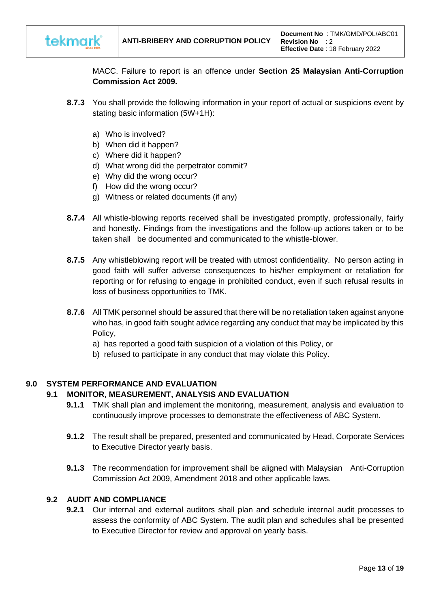

MACC. Failure to report is an offence under **Section 25 Malaysian Anti-Corruption Commission Act 2009.** 

- **8.7.3** You shall provide the following information in your report of actual or suspicions event by stating basic information (5W+1H):
	- a) Who is involved?
	- b) When did it happen?
	- c) Where did it happen?
	- d) What wrong did the perpetrator commit?
	- e) Why did the wrong occur?
	- f) How did the wrong occur?
	- g) Witness or related documents (if any)
- **8.7.4** All whistle-blowing reports received shall be investigated promptly, professionally, fairly and honestly. Findings from the investigations and the follow-up actions taken or to be taken shall be documented and communicated to the whistle-blower.
- **8.7.5** Any whistleblowing report will be treated with utmost confidentiality. No person acting in good faith will suffer adverse consequences to his/her employment or retaliation for reporting or for refusing to engage in prohibited conduct, even if such refusal results in loss of business opportunities to TMK.
- **8.7.6** All TMK personnel should be assured that there will be no retaliation taken against anyone who has, in good faith sought advice regarding any conduct that may be implicated by this Policy,
	- a) has reported a good faith suspicion of a violation of this Policy, or
	- b) refused to participate in any conduct that may violate this Policy.

## **9.0 SYSTEM PERFORMANCE AND EVALUATION**

## **9.1 MONITOR, MEASUREMENT, ANALYSIS AND EVALUATION**

- **9.1.1** TMK shall plan and implement the monitoring, measurement, analysis and evaluation to continuously improve processes to demonstrate the effectiveness of ABC System.
- **9.1.2** The result shall be prepared, presented and communicated by Head, Corporate Services to Executive Director yearly basis.
- **9.1.3** The recommendation for improvement shall be aligned with Malaysian Anti-Corruption Commission Act 2009, Amendment 2018 and other applicable laws.

## **9.2 AUDIT AND COMPLIANCE**

**9.2.1** Our internal and external auditors shall plan and schedule internal audit processes to assess the conformity of ABC System. The audit plan and schedules shall be presented to Executive Director for review and approval on yearly basis.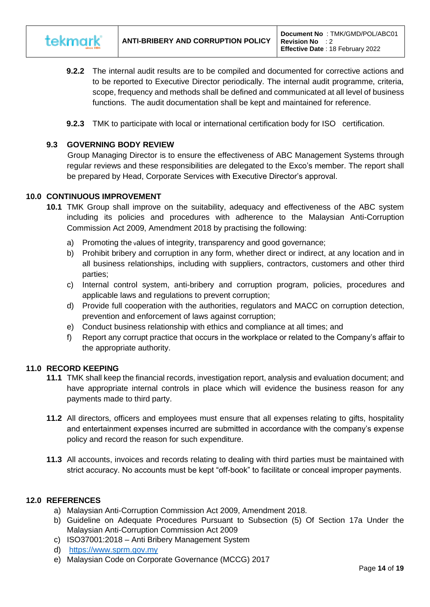

- **9.2.2** The internal audit results are to be compiled and documented for corrective actions and to be reported to Executive Director periodically. The internal audit programme, criteria, scope, frequency and methods shall be defined and communicated at all level of business functions. The audit documentation shall be kept and maintained for reference.
- **9.2.3** TMK to participate with local or international certification body for ISO certification.

## **9.3 GOVERNING BODY REVIEW**

Group Managing Director is to ensure the effectiveness of ABC Management Systems through regular reviews and these responsibilities are delegated to the Exco's member. The report shall be prepared by Head, Corporate Services with Executive Director's approval.

#### **10.0 CONTINUOUS IMPROVEMENT**

- **10.1** TMK Group shall improve on the suitability, adequacy and effectiveness of the ABC system including its policies and procedures with adherence to the Malaysian Anti-Corruption Commission Act 2009, Amendment 2018 by practising the following:
	- a) Promoting the values of integrity, transparency and good governance;
	- b) Prohibit bribery and corruption in any form, whether direct or indirect, at any location and in all business relationships, including with suppliers, contractors, customers and other third parties;
	- c) Internal control system, anti-bribery and corruption program, policies, procedures and applicable laws and regulations to prevent corruption;
	- d) Provide full cooperation with the authorities, regulators and MACC on corruption detection, prevention and enforcement of laws against corruption;
	- e) Conduct business relationship with ethics and compliance at all times; and
	- f) Report any corrupt practice that occurs in the workplace or related to the Company's affair to the appropriate authority.

## **11.0 RECORD KEEPING**

- **11.1** TMK shall keep the financial records, investigation report, analysis and evaluation document; and have appropriate internal controls in place which will evidence the business reason for any payments made to third party.
- **11.2** All directors, officers and employees must ensure that all expenses relating to gifts, hospitality and entertainment expenses incurred are submitted in accordance with the company's expense policy and record the reason for such expenditure.
- **11.3** All accounts, invoices and records relating to dealing with third parties must be maintained with strict accuracy. No accounts must be kept "off-book" to facilitate or conceal improper payments.

## **12.0 REFERENCES**

- a) Malaysian Anti-Corruption Commission Act 2009, Amendment 2018.
- b) Guideline on Adequate Procedures Pursuant to Subsection (5) Of Section 17a Under the Malaysian Anti-Corruption Commission Act 2009
- c) ISO37001:2018 Anti Bribery Management System
- d) [https://www.sprm.gov.my](https://www.sprm.gov.my/)
- e) Malaysian Code on Corporate Governance (MCCG) 2017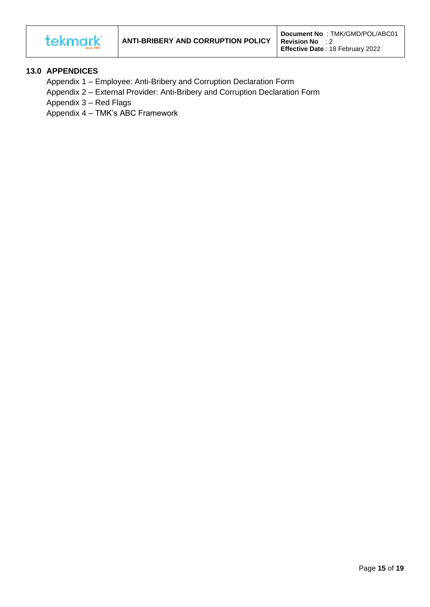

## **13.0 APPENDICES**

- Appendix 1 Employee: Anti-Bribery and Corruption Declaration Form
- Appendix 2 External Provider: Anti-Bribery and Corruption Declaration Form
- Appendix 3 Red Flags
- Appendix 4 TMK's ABC Framework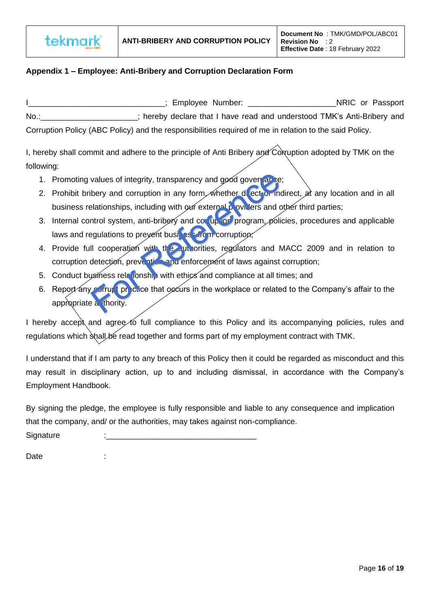

# **Appendix 1 – Employee: Anti-Bribery and Corruption Declaration Form**

ILLETTE STATE STATE STATE STATE STATE STATE STATE STATE STATE STATE STATE STATE STATE STATE STATE STATE STATE STATE STATE STATE STATE STATE STATE STATE STATE STATE STATE STATE STATE STATE STATE STATE STATE STATE STATE STAT No.: \_\_\_\_\_\_\_\_\_\_\_\_\_\_; hereby declare that I have read and understood TMK's Anti-Bribery and Corruption Policy (ABC Policy) and the responsibilities required of me in relation to the said Policy.

I, hereby shall commit and adhere to the principle of Anti Bribery and  $\widehat{C}$ orruption adopted by TMK on the following:

- 1. Promoting values of integrity, transparency and good governance;
- 2. Prohibit bribery and corruption in any form, whether direct or indirect, at any location and in all business relationships, including with our external providers and other third parties;
- 3. Internal control system, anti-bribery and corruption program, policies, procedures and applicable laws and regulations to prevent business from corruption;
- 4. Provide full cooperation with the authorities, regulators and MACC 2009 and in relation to corruption detection, prevention and enforcement of laws against corruption;
- 5. Conduct business relationship with ethics and compliance at all times; and
- 6. Report any corrupt practice that occurs in the workplace or related to the Company's affair to the appropriate a thority.

I hereby accept and agree to full compliance to this Policy and its accompanying policies, rules and regulations which shall be read together and forms part of my employment contract with TMK.

I understand that if I am party to any breach of this Policy then it could be regarded as misconduct and this may result in disciplinary action, up to and including dismissal, in accordance with the Company's Employment Handbook.

By signing the pledge, the employee is fully responsible and liable to any consequence and implication that the company, and/ or the authorities, may takes against non-compliance.

Signature

**Date**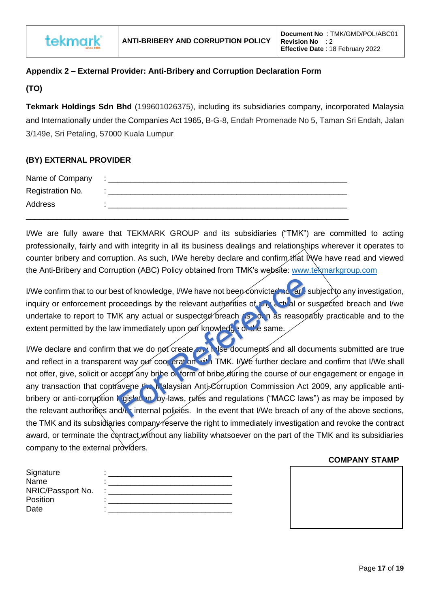

# **Appendix 2 – External Provider: Anti-Bribery and Corruption Declaration Form**

# **(TO)**

**Tekmark Holdings Sdn Bhd** (199601026375), including its subsidiaries company, incorporated Malaysia and Internationally under the Companies Act 1965, B-G-8, Endah Promenade No 5, Taman Sri Endah, Jalan 3/149e, Sri Petaling, 57000 Kuala Lumpur

# **(BY) EXTERNAL PROVIDER**

| Name of Company  | $\sim$ |
|------------------|--------|
| Registration No. |        |
| Address          |        |
|                  |        |

I/We are fully aware that TEKMARK GROUP and its subsidiaries ("TMK") are committed to acting professionally, fairly and with integrity in all its business dealings and relationships wherever it operates to counter bribery and corruption. As such, I/We hereby declare and confirm that I/We have read and viewed the Anti-Bribery and Corruption (ABC) Policy obtained from TMK's website: [www.tekmarkgroup.com](http://www.tekmarkgroup.com/) 

I/We confirm that to our best of knowledge, I/We have not been convicted not are subject to any investigation, inquiry or enforcement proceedings by the relevant authorities of any actual or suspected breach and I/we undertake to report to TMK any actual or suspected breach as soon as reasonably practicable and to the extent permitted by the law immediately upon our knowledge on the same.

I/We declare and confirm that we do not create any false documents and all documents submitted are true and reflect in a transparent way our coor eration with TMK. I/We further declare and confirm that I/We shall not offer, give, solicit or accept any bribe of form of bribe during the course of our engagement or engage in any transaction that coptravene the Malaysian Anti-Corruption Commission Act 2009, any applicable antibribery or anti-corruption **i** gislation, by-laws, rules and regulations ("MACC laws") as may be imposed by the relevant authorities and/c internal policies. In the event that I/We breach of any of the above sections, the TMK and its subsidiaries company reserve the right to immediately investigation and revoke the contract award, or terminate the contract without any liability whatsoever on the part of the TMK and its subsidiaries company to the external providers.

## **COMPANY STAMP**

| Signature         | ٠ |
|-------------------|---|
| Name              | ٠ |
| NRIC/Passport No. | ٠ |
| Position          | ٠ |
| Date              | ٠ |

| <u> Jim / wildon / wildon</u> |  |
|-------------------------------|--|
|                               |  |
|                               |  |
|                               |  |
|                               |  |
|                               |  |
|                               |  |
|                               |  |
|                               |  |
|                               |  |
|                               |  |
|                               |  |
|                               |  |
|                               |  |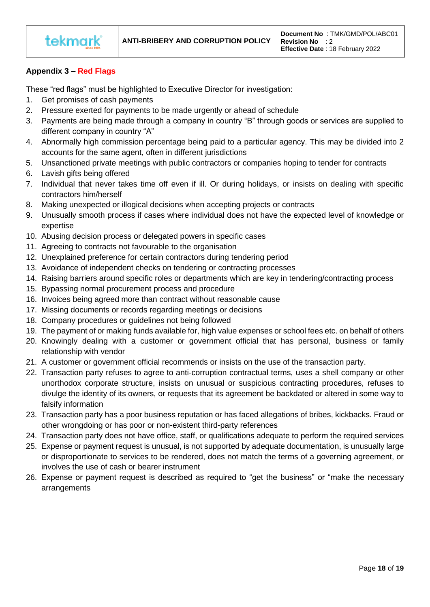

# **Appendix 3 – Red Flags**

These "red flags" must be highlighted to Executive Director for investigation:

- 1. Get promises of cash payments
- 2. Pressure exerted for payments to be made urgently or ahead of schedule
- 3. Payments are being made through a company in country "B" through goods or services are supplied to different company in country "A"
- 4. Abnormally high commission percentage being paid to a particular agency. This may be divided into 2 accounts for the same agent, often in different jurisdictions
- 5. Unsanctioned private meetings with public contractors or companies hoping to tender for contracts
- 6. Lavish gifts being offered
- 7. Individual that never takes time off even if ill. Or during holidays, or insists on dealing with specific contractors him/herself
- 8. Making unexpected or illogical decisions when accepting projects or contracts
- 9. Unusually smooth process if cases where individual does not have the expected level of knowledge or expertise
- 10. Abusing decision process or delegated powers in specific cases
- 11. Agreeing to contracts not favourable to the organisation
- 12. Unexplained preference for certain contractors during tendering period
- 13. Avoidance of independent checks on tendering or contracting processes
- 14. Raising barriers around specific roles or departments which are key in tendering/contracting process
- 15. Bypassing normal procurement process and procedure
- 16. Invoices being agreed more than contract without reasonable cause
- 17. Missing documents or records regarding meetings or decisions
- 18. Company procedures or guidelines not being followed
- 19. The payment of or making funds available for, high value expenses or school fees etc. on behalf of others
- 20. Knowingly dealing with a customer or government official that has personal, business or family relationship with vendor
- 21. A customer or government official recommends or insists on the use of the transaction party.
- 22. Transaction party refuses to agree to anti-corruption contractual terms, uses a shell company or other unorthodox corporate structure, insists on unusual or suspicious contracting procedures, refuses to divulge the identity of its owners, or requests that its agreement be backdated or altered in some way to falsify information
- 23. Transaction party has a poor business reputation or has faced allegations of bribes, kickbacks. Fraud or other wrongdoing or has poor or non-existent third-party references
- 24. Transaction party does not have office, staff, or qualifications adequate to perform the required services
- 25. Expense or payment request is unusual, is not supported by adequate documentation, is unusually large or disproportionate to services to be rendered, does not match the terms of a governing agreement, or involves the use of cash or bearer instrument
- 26. Expense or payment request is described as required to "get the business" or "make the necessary arrangements